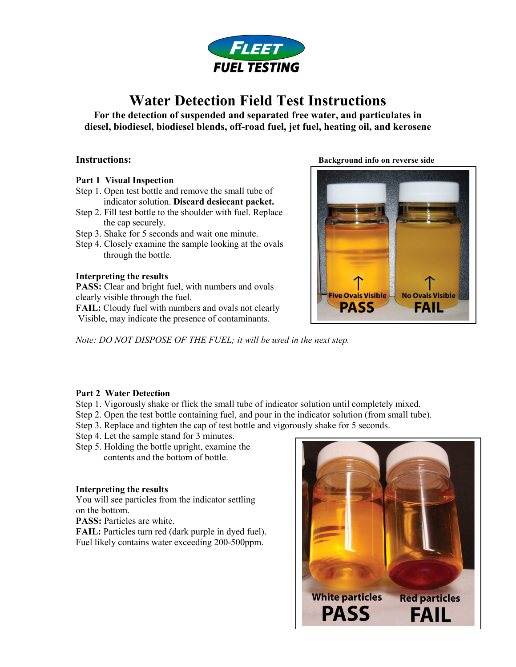

# Water Detection Field Test Instructions

For the detection of suspended and separated free water, and particulates in diesel, biodiesel, biodiesel blends, off-road fuel, jet fuel, heating oil, and kerosene

- Part 1 Visual Inspection
- Step 1. Open test bottle and remove the small tube of indicator solution. Discard desiccant packet.
- Step 2. Fill test bottle to the shoulder with fuel. Replace the cap securely.
- Step 3. Shake for 5 seconds and wait one minute.
- Step 4. Closely examine the sample looking at the ovals through the bottle.

## Interpreting the results

PASS: Clear and bright fuel, with numbers and ovals clearly visible through the fuel.

FAIL: Cloudy fuel with numbers and ovals not clearly Visible, may indicate the presence of contaminants.

Instructions: Background info on reverse side



Note: DO NOT DISPOSE OF THE FUEL; it will be used in the next step.

## Part 2 Water Detection

- Step 1. Vigorously shake or flick the small tube of indicator solution until completely mixed.
- Step 2. Open the test bottle containing fuel, and pour in the indicator solution (from small tube).
- Step 3. Replace and tighten the cap of test bottle and vigorously shake for 5 seconds.
- Step 4. Let the sample stand for 3 minutes.
- Step 5. Holding the bottle upright, examine the contents and the bottom of bottle.

## Interpreting the results

You will see particles from the indicator settling on the bottom.

PASS: Particles are white.

FAIL: Particles turn red (dark purple in dyed fuel). Fuel likely contains water exceeding 200-500ppm.